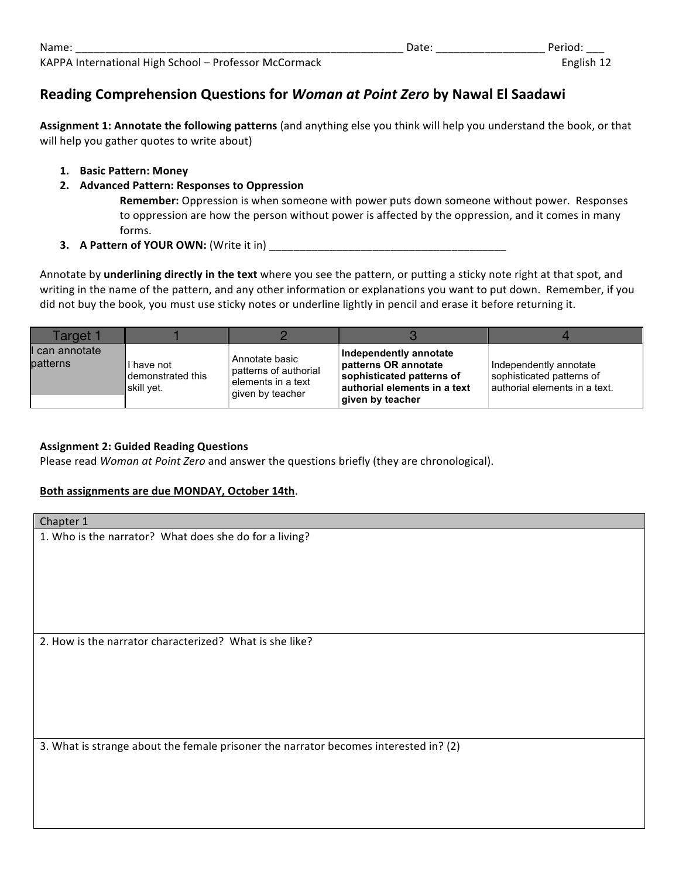## **Reading Comprehension Questions for** *Woman at Point Zero* **by Nawal El Saadawi**

Assignment 1: Annotate the following patterns (and anything else you think will help you understand the book, or that will help you gather quotes to write about)

- **1. Basic Pattern: Money**
- **2. Advanced Pattern: Responses to Oppression**

**Remember:** Oppression is when someone with power puts down someone without power. Responses to oppression are how the person without power is affected by the oppression, and it comes in many forms.

**3. A Pattern of YOUR OWN:** (Write it in) \_\_\_\_\_\_\_\_\_\_\_\_\_\_\_\_\_\_\_\_\_\_\_\_\_\_\_\_\_\_\_\_\_\_\_\_\_\_\_

Annotate by underlining directly in the text where you see the pattern, or putting a sticky note right at that spot, and writing in the name of the pattern, and any other information or explanations you want to put down. Remember, if you did not buy the book, you must use sticky notes or underline lightly in pencil and erase it before returning it.

| Target 1                 |                                               |                                                                                   |                                                                                                                                 |                                                                                      |
|--------------------------|-----------------------------------------------|-----------------------------------------------------------------------------------|---------------------------------------------------------------------------------------------------------------------------------|--------------------------------------------------------------------------------------|
| can annotate<br>patterns | I have not<br>demonstrated this<br>skill yet. | Annotate basic<br>patterns of authorial<br>elements in a text<br>given by teacher | Independently annotate<br>patterns OR annotate<br>sophisticated patterns of<br>authorial elements in a text<br>given by teacher | Independently annotate<br>sophisticated patterns of<br>authorial elements in a text. |

## **Assignment 2: Guided Reading Questions**

Please read *Woman at Point Zero* and answer the questions briefly (they are chronological).

## Both assignments are due MONDAY, October 14th.

| Chapter 1                                                                            |  |  |
|--------------------------------------------------------------------------------------|--|--|
| 1. Who is the narrator? What does she do for a living?                               |  |  |
|                                                                                      |  |  |
|                                                                                      |  |  |
|                                                                                      |  |  |
|                                                                                      |  |  |
|                                                                                      |  |  |
| 2. How is the narrator characterized? What is she like?                              |  |  |
|                                                                                      |  |  |
|                                                                                      |  |  |
|                                                                                      |  |  |
|                                                                                      |  |  |
|                                                                                      |  |  |
| 3. What is strange about the female prisoner the narrator becomes interested in? (2) |  |  |
|                                                                                      |  |  |
|                                                                                      |  |  |
|                                                                                      |  |  |
|                                                                                      |  |  |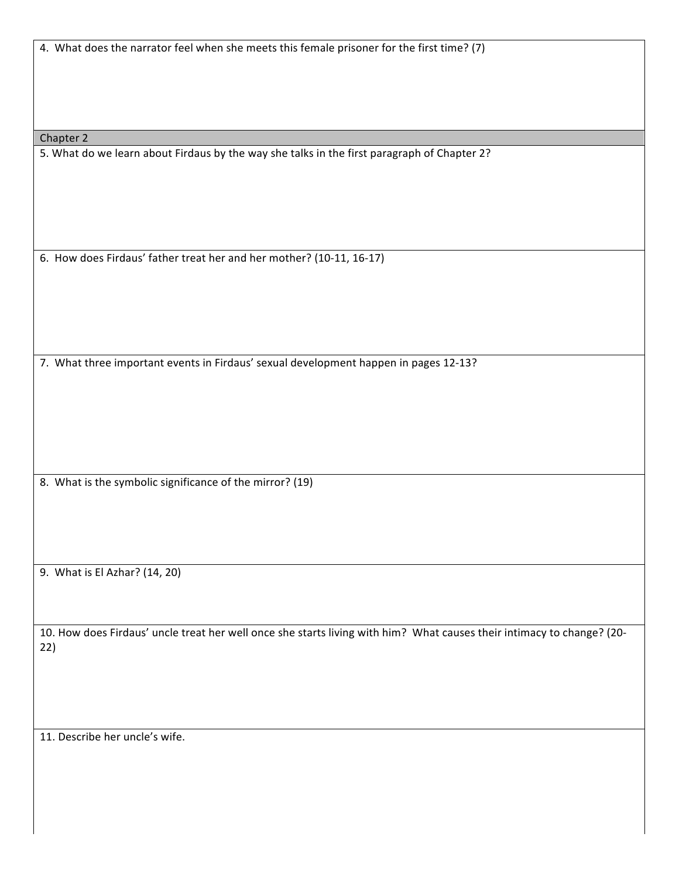| 4. What does the narrator feel when she meets this female prisoner for the first time? (7)                             |
|------------------------------------------------------------------------------------------------------------------------|
|                                                                                                                        |
|                                                                                                                        |
|                                                                                                                        |
|                                                                                                                        |
| Chapter 2<br>5. What do we learn about Firdaus by the way she talks in the first paragraph of Chapter 2?               |
|                                                                                                                        |
|                                                                                                                        |
|                                                                                                                        |
|                                                                                                                        |
|                                                                                                                        |
| 6. How does Firdaus' father treat her and her mother? (10-11, 16-17)                                                   |
|                                                                                                                        |
|                                                                                                                        |
|                                                                                                                        |
|                                                                                                                        |
| 7. What three important events in Firdaus' sexual development happen in pages 12-13?                                   |
|                                                                                                                        |
|                                                                                                                        |
|                                                                                                                        |
|                                                                                                                        |
|                                                                                                                        |
| 8. What is the symbolic significance of the mirror? (19)                                                               |
|                                                                                                                        |
|                                                                                                                        |
|                                                                                                                        |
| 9. What is El Azhar? (14, 20)                                                                                          |
|                                                                                                                        |
|                                                                                                                        |
| 10. How does Firdaus' uncle treat her well once she starts living with him? What causes their intimacy to change? (20- |
| 22)                                                                                                                    |
|                                                                                                                        |
|                                                                                                                        |
|                                                                                                                        |
| 11. Describe her uncle's wife.                                                                                         |
|                                                                                                                        |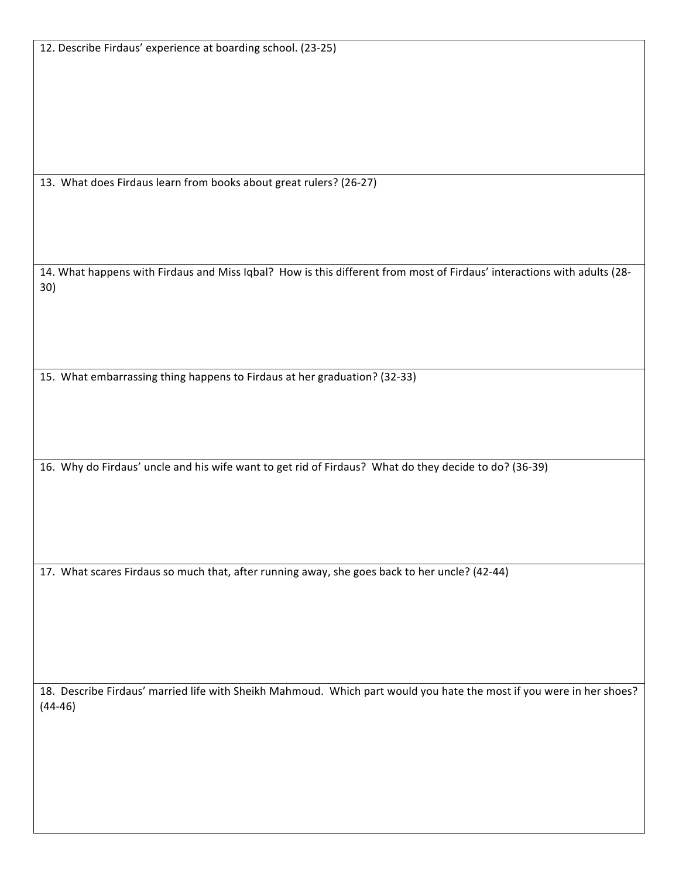13. What does Firdaus learn from books about great rulers? (26-27)

14. What happens with Firdaus and Miss Iqbal? How is this different from most of Firdaus' interactions with adults (28-30)

15. What embarrassing thing happens to Firdaus at her graduation? (32-33)

16. Why do Firdaus' uncle and his wife want to get rid of Firdaus? What do they decide to do? (36-39)

17. What scares Firdaus so much that, after running away, she goes back to her uncle? (42-44)

18. Describe Firdaus' married life with Sheikh Mahmoud. Which part would you hate the most if you were in her shoes? (44-46)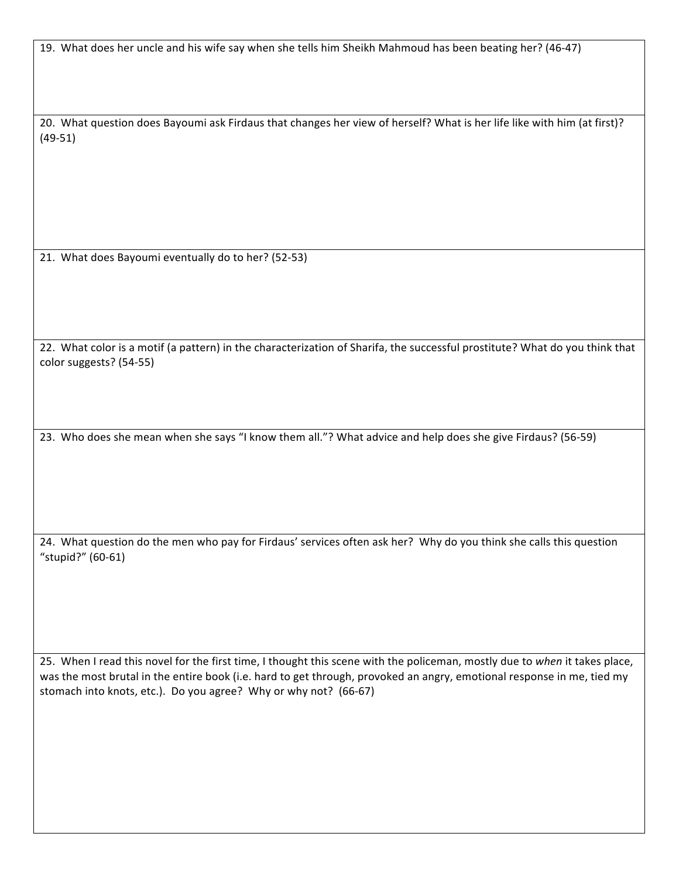19. What does her uncle and his wife say when she tells him Sheikh Mahmoud has been beating her? (46-47)

20. What question does Bayoumi ask Firdaus that changes her view of herself? What is her life like with him (at first)? (49-51)

21. What does Bayoumi eventually do to her? (52-53)

22. What color is a motif (a pattern) in the characterization of Sharifa, the successful prostitute? What do you think that color suggests? (54-55)

23. Who does she mean when she says "I know them all."? What advice and help does she give Firdaus? (56-59)

24. What question do the men who pay for Firdaus' services often ask her? Why do you think she calls this question "stupid?" (60-61)

25. When I read this novel for the first time, I thought this scene with the policeman, mostly due to when it takes place, was the most brutal in the entire book (i.e. hard to get through, provoked an angry, emotional response in me, tied my stomach into knots, etc.). Do you agree? Why or why not? (66-67)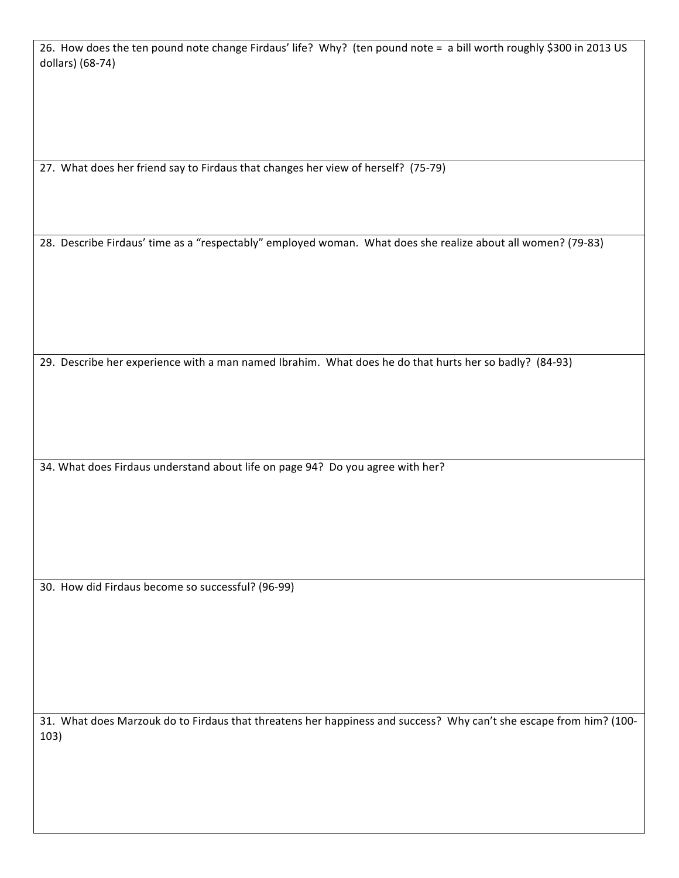26. How does the ten pound note change Firdaus' life? Why? (ten pound note = a bill worth roughly \$300 in 2013 US dollars) (68-74)

27. What does her friend say to Firdaus that changes her view of herself? (75-79)

28. Describe Firdaus' time as a "respectably" employed woman. What does she realize about all women? (79-83)

29. Describe her experience with a man named Ibrahim. What does he do that hurts her so badly? (84-93)

34. What does Firdaus understand about life on page 94? Do you agree with her?

30. How did Firdaus become so successful? (96-99)

31. What does Marzouk do to Firdaus that threatens her happiness and success? Why can't she escape from him? (100-103)